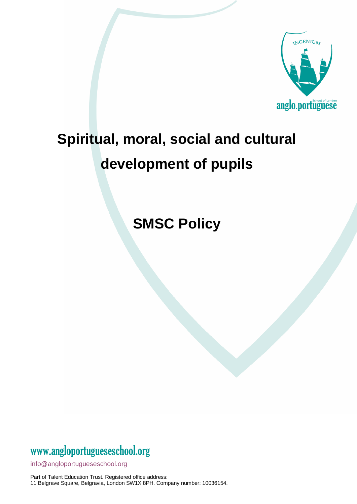

# **Spiritual, moral, social and cultural development of pupils**

**SMSC Policy**

#### www[.angloportugueseschool.org](https://angloportugueseschool.org/)

[info@a](mailto:info@)ngloportugueseschool.org

Part of Talent Education Trust. Registered office address: 11 Belgrave Square, Belgravia, London SW1X 8PH. Company number: 10036154.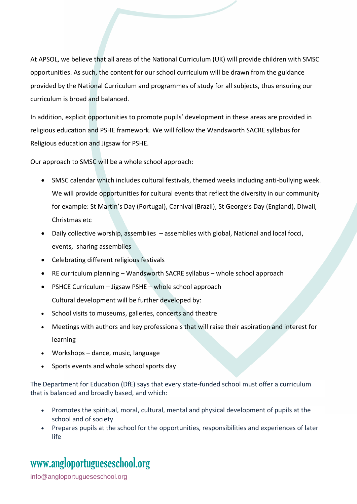At APSOL, we believe that all areas of the National Curriculum (UK) will provide children with SMSC opportunities. As such, the content for our school curriculum will be drawn from the guidance provided by the National Curriculum and programmes of study for all subjects, thus ensuring our curriculum is broad and balanced.

In addition, explicit opportunities to promote pupils' development in these areas are provided in religious education and PSHE framework. We will follow the Wandsworth SACRE syllabus for Religious education and Jigsaw for PSHE.

Our approach to SMSC will be a whole school approach:

- SMSC calendar which includes cultural festivals, themed weeks including anti-bullying week. We will provide opportunities for cultural events that reflect the diversity in our community for example: St Martin's Day (Portugal), Carnival (Brazil), St George's Day (England), Diwali, Christmas etc
- Daily collective worship, assemblies assemblies with global, National and local focci, events, sharing assemblies
- Celebrating different religious festivals
- RE curriculum planning Wandsworth SACRE syllabus whole school approach
- PSHCE Curriculum Jigsaw PSHE whole school approach Cultural development will be further developed by:
- School visits to museums, galleries, concerts and theatre
- Meetings with authors and key professionals that will raise their aspiration and interest for learning
- Workshops dance, music, language
- Sports events and whole school sports day

The Department for Education (DfE) says that every state-funded school must offer a curriculum that is balanced and broadly based, and which:

- Promotes the spiritual, moral, cultural, mental and physical development of pupils at the school and of society
- Prepares pupils at the school for the opportunities, responsibilities and experiences of later life

### www[.angloportugueseschool.org](https://angloportugueseschool.org/)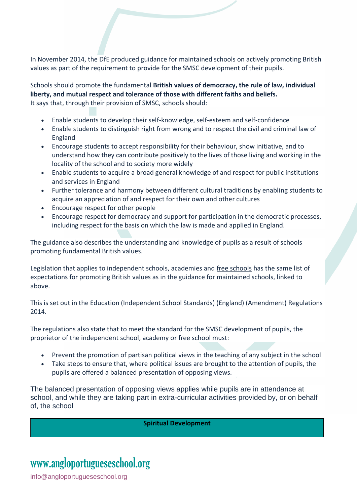In November 2014, the DfE produced guidance for maintained schools on actively promoting British values as part of the requirement to provide for the SMSC development of their pupils.

Schools should promote the fundamental **British values of democracy, the rule of law, individual liberty, and mutual respect and tolerance of those with different faiths and beliefs.** It says that, through their provision of SMSC, schools should:

- Enable students to develop their self-knowledge, self-esteem and self-confidence
- Enable students to distinguish right from wrong and to respect the civil and criminal law of England
- Encourage students to accept responsibility for their behaviour, show initiative, and to understand how they can contribute positively to the lives of those living and working in the locality of the school and to society more widely
- Enable students to acquire a broad general knowledge of and respect for public institutions and services in England
- Further tolerance and harmony between different cultural traditions by enabling students to acquire an appreciation of and respect for their own and other cultures
- Encourage respect for other people
- Encourage respect for democracy and support for participation in the democratic processes, including respect for the basis on which the law is made and applied in England.

The guidance also describes the understanding and knowledge of pupils as a result of schools promoting fundamental British values.

Legislation that applies to independent schools, academies and free schools has the same list of expectations for promoting British values as in the guidance for maintained schools, linked to above.

This is set out in the Education (Independent School Standards) (England) (Amendment) Regulations 2014.

The regulations also state that to meet the standard for the SMSC development of pupils, the proprietor of the independent school, academy or free school must:

- Prevent the promotion of partisan political views in the teaching of any subject in the school
- Take steps to ensure that, where political issues are brought to the attention of pupils, the pupils are offered a balanced presentation of opposing views.

The balanced presentation of opposing views applies while pupils are in attendance at school, and while they are taking part in extra-curricular activities provided by, or on behalf of, the school

**Spiritual Development**

# www[.angloportugueseschool.org](https://angloportugueseschool.org/)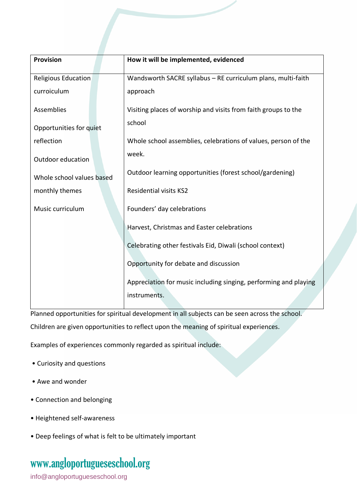| <b>Provision</b>           | How it will be implemented, evidenced                            |
|----------------------------|------------------------------------------------------------------|
| <b>Religious Education</b> | Wandsworth SACRE syllabus - RE curriculum plans, multi-faith     |
| curroiculum                | approach                                                         |
| Assemblies                 | Visiting places of worship and visits from faith groups to the   |
| Opportunities for quiet    | school                                                           |
| reflection                 | Whole school assemblies, celebrations of values, person of the   |
| Outdoor education          | week.                                                            |
| Whole school values based  | Outdoor learning opportunities (forest school/gardening)         |
| monthly themes             | <b>Residential visits KS2</b>                                    |
| Music curriculum           | Founders' day celebrations                                       |
|                            | Harvest, Christmas and Easter celebrations                       |
|                            | Celebrating other festivals Eid, Diwali (school context)         |
|                            | Opportunity for debate and discussion                            |
|                            | Appreciation for music including singing, performing and playing |
|                            | instruments.                                                     |

Planned opportunities for spiritual development in all subjects can be seen across the school. Children are given opportunities to reflect upon the meaning of spiritual experiences.

Examples of experiences commonly regarded as spiritual include:

- Curiosity and questions
- Awe and wonder
- Connection and belonging
- Heightened self-awareness
- Deep feelings of what is felt to be ultimately important

#### www[.angloportugueseschool.org](https://angloportugueseschool.org/)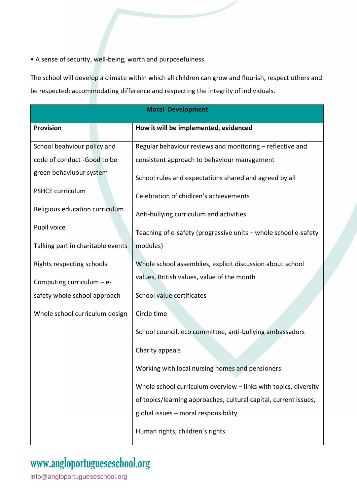• A sense of security, well-being, worth and purposefulness

The school will develop a climate within which all children can grow and flourish, respect others and be respected; accommodating difference and respecting the integrity of individuals.

| <b>Moral Development</b>          |                                                                  |  |
|-----------------------------------|------------------------------------------------------------------|--|
| <b>Provision</b>                  | How it will be implemented, evidenced                            |  |
| School beahviour policy and       | Regular behaviour reviews and monitoring - reflective and        |  |
| code of conduct -Good to be       | consistent approach to behaviour management                      |  |
| green behaviuour system           | School rules and expectations shared and agreed by all           |  |
| <b>PSHCE curriculum</b>           | Celebration of chidlren's achievements                           |  |
| Religious education curriculum    | Anti-bullying curriculum and activities                          |  |
| Pupil voice                       | Teaching of e-safety (progressive units - whole school e-safety  |  |
| Talking part in charitable events | modules)                                                         |  |
| Rights respecting schools         | Whole school assemblies, explicit discussion about school        |  |
| Computing curriculum - e-         | values, British values, value of the month                       |  |
| safety whole school approach      | School value certificates                                        |  |
| Whole school curriculum design    | Circle time                                                      |  |
|                                   | School council, eco committee, anti-bullying ambassadors         |  |
|                                   | Charity appeals                                                  |  |
|                                   | Working with local nursing homes and pensioners                  |  |
|                                   | Whole school curriculum overview - links with topics, diversity  |  |
|                                   | of topics/learning approaches, cultural capital, current issues, |  |
|                                   | global issues - moral responsibility                             |  |
|                                   | Human rights, children's rights                                  |  |

### www[.angloportugueseschool.org](https://angloportugueseschool.org/)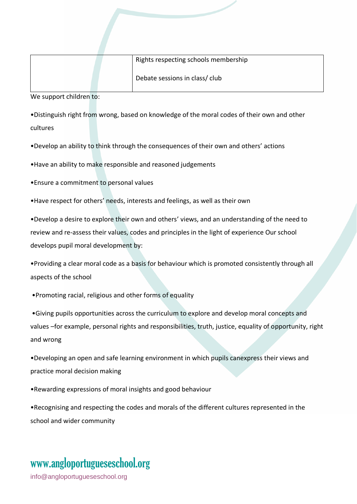|  | Rights respecting schools membership |
|--|--------------------------------------|
|  | Debate sessions in class/club        |

We support children to:

•Distinguish right from wrong, based on knowledge of the moral codes of their own and other cultures

•Develop an ability to think through the consequences of their own and others' actions

•Have an ability to make responsible and reasoned judgements

•Ensure a commitment to personal values

•Have respect for others' needs, interests and feelings, as well as their own

•Develop a desire to explore their own and others' views, and an understanding of the need to review and re-assess their values, codes and principles in the light of experience Our school develops pupil moral development by:

•Providing a clear moral code as a basis for behaviour which is promoted consistently through all aspects of the school

•Promoting racial, religious and other forms of equality

•Giving pupils opportunities across the curriculum to explore and develop moral concepts and values –for example, personal rights and responsibilities, truth, justice, equality of opportunity, right and wrong

•Developing an open and safe learning environment in which pupils canexpress their views and practice moral decision making

•Rewarding expressions of moral insights and good behaviour

•Recognising and respecting the codes and morals of the different cultures represented in the school and wider community

# www[.angloportugueseschool.org](https://angloportugueseschool.org/)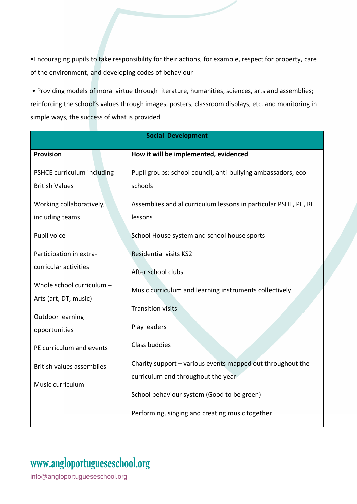•Encouraging pupils to take responsibility for their actions, for example, respect for property, care of the environment, and developing codes of behaviour

• Providing models of moral virtue through literature, humanities, sciences, arts and assemblies; reinforcing the school's values through images, posters, classroom displays, etc. and monitoring in simple ways, the success of what is provided

| <b>Social Development</b>        |                                                                 |  |  |
|----------------------------------|-----------------------------------------------------------------|--|--|
| <b>Provision</b>                 | How it will be implemented, evidenced                           |  |  |
| PSHCE curriculum including       | Pupil groups: school council, anti-bullying ambassadors, eco-   |  |  |
| <b>British Values</b>            | schools                                                         |  |  |
| Working collaboratively,         | Assemblies and al curriculum lessons in particular PSHE, PE, RE |  |  |
| including teams                  | lessons                                                         |  |  |
| Pupil voice                      | School House system and school house sports                     |  |  |
| Participation in extra-          | <b>Residential visits KS2</b>                                   |  |  |
| curricular activities            | After school clubs                                              |  |  |
| Whole school curriculum -        | Music curriculum and learning instruments collectively          |  |  |
| Arts (art, DT, music)            |                                                                 |  |  |
| <b>Outdoor learning</b>          | <b>Transition visits</b>                                        |  |  |
| opportunities                    | Play leaders                                                    |  |  |
| PE curriculum and events         | Class buddies                                                   |  |  |
| <b>British values assemblies</b> | Charity support - various events mapped out throughout the      |  |  |
| Music curriculum                 | curriculum and throughout the year                              |  |  |
|                                  | School behaviour system (Good to be green)                      |  |  |
|                                  | Performing, singing and creating music together                 |  |  |

### www[.angloportugueseschool.org](https://angloportugueseschool.org/)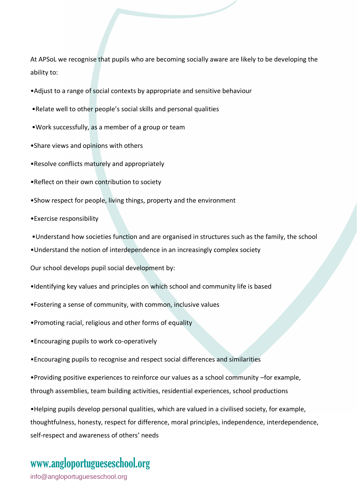At APSoL we recognise that pupils who are becoming socially aware are likely to be developing the ability to:

- •Adjust to a range of social contexts by appropriate and sensitive behaviour
- •Relate well to other people's social skills and personal qualities
- •Work successfully, as a member of a group or team
- •Share views and opinions with others
- •Resolve conflicts maturely and appropriately
- •Reflect on their own contribution to society
- •Show respect for people, living things, property and the environment
- •Exercise responsibility
- •Understand how societies function and are organised in structures such as the family, the school
- •Understand the notion of interdependence in an increasingly complex society
- Our school develops pupil social development by:
- •Identifying key values and principles on which school and community life is based
- •Fostering a sense of community, with common, inclusive values
- •Promoting racial, religious and other forms of equality
- •Encouraging pupils to work co-operatively
- •Encouraging pupils to recognise and respect social differences and similarities

•Providing positive experiences to reinforce our values as a school community –for example, through assemblies, team building activities, residential experiences, school productions

•Helping pupils develop personal qualities, which are valued in a civilised society, for example, thoughtfulness, honesty, respect for difference, moral principles, independence, interdependence, self-respect and awareness of others' needs

### www[.angloportugueseschool.org](https://angloportugueseschool.org/)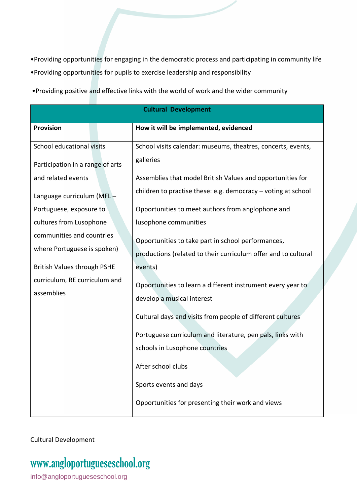•Providing opportunities for engaging in the democratic process and participating in community life

•Providing opportunities for pupils to exercise leadership and responsibility

•Providing positive and effective links with the world of work and the wider community

| <b>Cultural Development</b>                 |                                                                |  |  |
|---------------------------------------------|----------------------------------------------------------------|--|--|
| <b>Provision</b>                            | How it will be implemented, evidenced                          |  |  |
| School educational visits                   | School visits calendar: museums, theatres, concerts, events,   |  |  |
| Participation in a range of arts            | galleries                                                      |  |  |
| and related events                          | Assemblies that model British Values and opportunities for     |  |  |
| Language curriculum (MFL-                   | children to practise these: e.g. democracy - voting at school  |  |  |
| Portuguese, exposure to                     | Opportunities to meet authors from anglophone and              |  |  |
| cultures from Lusophone                     | lusophone communities                                          |  |  |
| communities and countries                   | Opportunities to take part in school performances,             |  |  |
| where Portuguese is spoken)                 | productions (related to their curriculum offer and to cultural |  |  |
| <b>British Values through PSHE</b>          | events)                                                        |  |  |
| curriculum, RE curriculum and<br>assemblies | Opportunities to learn a different instrument every year to    |  |  |
|                                             | develop a musical interest                                     |  |  |
|                                             | Cultural days and visits from people of different cultures     |  |  |
|                                             | Portuguese curriculum and literature, pen pals, links with     |  |  |
|                                             | schools in Lusophone countries                                 |  |  |
|                                             | After school clubs                                             |  |  |
|                                             | Sports events and days                                         |  |  |
|                                             | Opportunities for presenting their work and views              |  |  |

Cultural Development

## www[.angloportugueseschool.org](https://angloportugueseschool.org/)